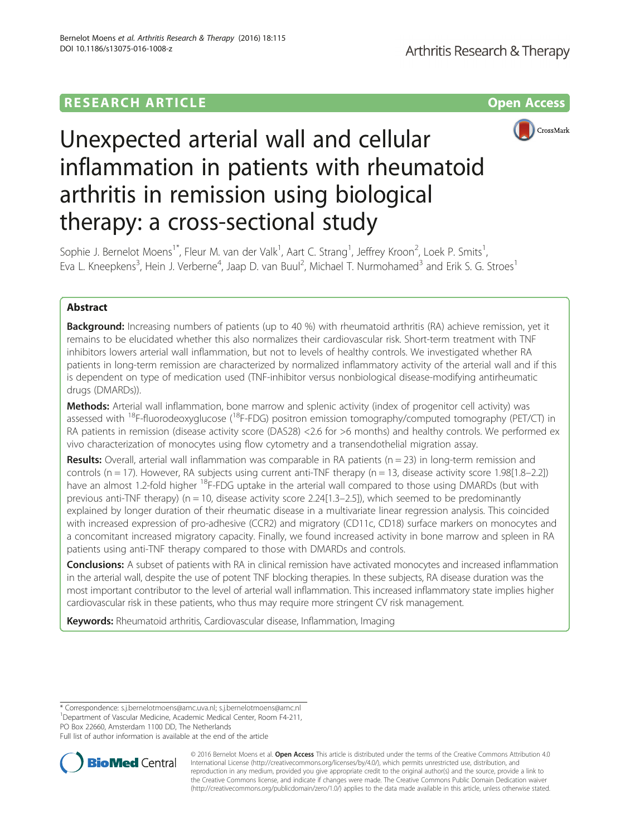## **RESEARCH ARTICLE Example 2014 12:30 The Contract of Contract ACCESS**



# Unexpected arterial wall and cellular inflammation in patients with rheumatoid arthritis in remission using biological therapy: a cross-sectional study

Sophie J. Bernelot Moens<sup>1\*</sup>, Fleur M. van der Valk<sup>1</sup>, Aart C. Strang<sup>1</sup>, Jeffrey Kroon<sup>2</sup>, Loek P. Smits<sup>1</sup> , Eva L. Kneepkens<sup>3</sup>, Hein J. Verberne<sup>4</sup>, Jaap D. van Buul<sup>2</sup>, Michael T. Nurmohamed<sup>3</sup> and Erik S. G. Stroes<sup>1</sup>

## Abstract

**Background:** Increasing numbers of patients (up to 40 %) with rheumatoid arthritis (RA) achieve remission, yet it remains to be elucidated whether this also normalizes their cardiovascular risk. Short-term treatment with TNF inhibitors lowers arterial wall inflammation, but not to levels of healthy controls. We investigated whether RA patients in long-term remission are characterized by normalized inflammatory activity of the arterial wall and if this is dependent on type of medication used (TNF-inhibitor versus nonbiological disease-modifying antirheumatic drugs (DMARDs)).

Methods: Arterial wall inflammation, bone marrow and splenic activity (index of progenitor cell activity) was assessed with 18F-fluorodeoxyglucose (18F-FDG) positron emission tomography/computed tomography (PET/CT) in RA patients in remission (disease activity score (DAS28) <2.6 for >6 months) and healthy controls. We performed ex vivo characterization of monocytes using flow cytometry and a transendothelial migration assay.

**Results:** Overall, arterial wall inflammation was comparable in RA patients ( $n = 23$ ) in long-term remission and controls (n = 17). However, RA subjects using current anti-TNF therapy (n = 13, disease activity score 1.98[1.8–2.2]) have an almost 1.2-fold higher <sup>18</sup>F-FDG uptake in the arterial wall compared to those using DMARDs (but with previous anti-TNF therapy) ( $n = 10$ , disease activity score 2.24[1.3–2.5]), which seemed to be predominantly explained by longer duration of their rheumatic disease in a multivariate linear regression analysis. This coincided with increased expression of pro-adhesive (CCR2) and migratory (CD11c, CD18) surface markers on monocytes and a concomitant increased migratory capacity. Finally, we found increased activity in bone marrow and spleen in RA patients using anti-TNF therapy compared to those with DMARDs and controls.

Conclusions: A subset of patients with RA in clinical remission have activated monocytes and increased inflammation in the arterial wall, despite the use of potent TNF blocking therapies. In these subjects, RA disease duration was the most important contributor to the level of arterial wall inflammation. This increased inflammatory state implies higher cardiovascular risk in these patients, who thus may require more stringent CV risk management.

Keywords: Rheumatoid arthritis, Cardiovascular disease, Inflammation, Imaging

PO Box 22660, Amsterdam 1100 DD, The Netherlands

Full list of author information is available at the end of the article



© 2016 Bernelot Moens et al. Open Access This article is distributed under the terms of the Creative Commons Attribution 4.0 International License [\(http://creativecommons.org/licenses/by/4.0/](http://creativecommons.org/licenses/by/4.0/)), which permits unrestricted use, distribution, and reproduction in any medium, provided you give appropriate credit to the original author(s) and the source, provide a link to the Creative Commons license, and indicate if changes were made. The Creative Commons Public Domain Dedication waiver [\(http://creativecommons.org/publicdomain/zero/1.0/](http://creativecommons.org/publicdomain/zero/1.0/)) applies to the data made available in this article, unless otherwise stated.

<sup>\*</sup> Correspondence: [s.j.bernelotmoens@amc.uva.nl;](mailto:s.j.bernelotmoens@amc.uva.nl) [s.j.bernelotmoens@amc.nl](mailto:s.j.bernelotmoens@amc.nl) <sup>1</sup>

<sup>&</sup>lt;sup>1</sup>Department of Vascular Medicine, Academic Medical Center, Room F4-211,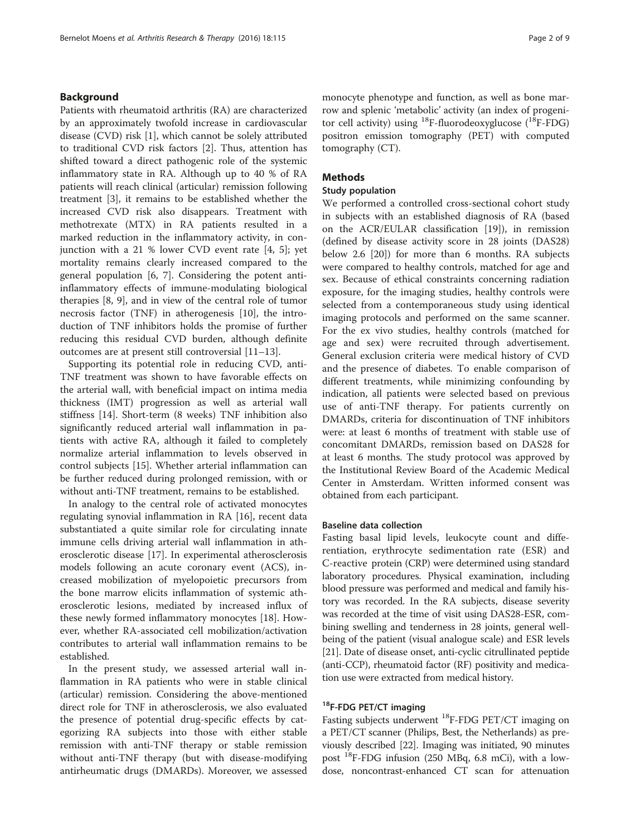## Background

Patients with rheumatoid arthritis (RA) are characterized by an approximately twofold increase in cardiovascular disease (CVD) risk [[1\]](#page-7-0), which cannot be solely attributed to traditional CVD risk factors [\[2](#page-7-0)]. Thus, attention has shifted toward a direct pathogenic role of the systemic inflammatory state in RA. Although up to 40 % of RA patients will reach clinical (articular) remission following treatment [\[3\]](#page-7-0), it remains to be established whether the increased CVD risk also disappears. Treatment with methotrexate (MTX) in RA patients resulted in a marked reduction in the inflammatory activity, in conjunction with a 21 % lower CVD event rate [[4, 5\]](#page-7-0); yet mortality remains clearly increased compared to the general population [[6](#page-7-0), [7](#page-7-0)]. Considering the potent antiinflammatory effects of immune-modulating biological therapies [\[8](#page-8-0), [9](#page-8-0)], and in view of the central role of tumor necrosis factor (TNF) in atherogenesis [\[10](#page-8-0)], the introduction of TNF inhibitors holds the promise of further reducing this residual CVD burden, although definite outcomes are at present still controversial [[11](#page-8-0)–[13](#page-8-0)].

Supporting its potential role in reducing CVD, anti-TNF treatment was shown to have favorable effects on the arterial wall, with beneficial impact on intima media thickness (IMT) progression as well as arterial wall stiffness [\[14](#page-8-0)]. Short-term (8 weeks) TNF inhibition also significantly reduced arterial wall inflammation in patients with active RA, although it failed to completely normalize arterial inflammation to levels observed in control subjects [\[15](#page-8-0)]. Whether arterial inflammation can be further reduced during prolonged remission, with or without anti-TNF treatment, remains to be established.

In analogy to the central role of activated monocytes regulating synovial inflammation in RA [\[16\]](#page-8-0), recent data substantiated a quite similar role for circulating innate immune cells driving arterial wall inflammation in atherosclerotic disease [[17\]](#page-8-0). In experimental atherosclerosis models following an acute coronary event (ACS), increased mobilization of myelopoietic precursors from the bone marrow elicits inflammation of systemic atherosclerotic lesions, mediated by increased influx of these newly formed inflammatory monocytes [\[18\]](#page-8-0). However, whether RA-associated cell mobilization/activation contributes to arterial wall inflammation remains to be established.

In the present study, we assessed arterial wall inflammation in RA patients who were in stable clinical (articular) remission. Considering the above-mentioned direct role for TNF in atherosclerosis, we also evaluated the presence of potential drug-specific effects by categorizing RA subjects into those with either stable remission with anti-TNF therapy or stable remission without anti-TNF therapy (but with disease-modifying antirheumatic drugs (DMARDs). Moreover, we assessed monocyte phenotype and function, as well as bone marrow and splenic 'metabolic' activity (an index of progenitor cell activity) using  $^{18}$ F-fluorodeoxyglucose ( $^{18}$ F-FDG) positron emission tomography (PET) with computed tomography (CT).

## Methods

#### Study population

We performed a controlled cross-sectional cohort study in subjects with an established diagnosis of RA (based on the ACR/EULAR classification [\[19\]](#page-8-0)), in remission (defined by disease activity score in 28 joints (DAS28) below 2.6 [\[20](#page-8-0)]) for more than 6 months. RA subjects were compared to healthy controls, matched for age and sex. Because of ethical constraints concerning radiation exposure, for the imaging studies, healthy controls were selected from a contemporaneous study using identical imaging protocols and performed on the same scanner. For the ex vivo studies, healthy controls (matched for age and sex) were recruited through advertisement. General exclusion criteria were medical history of CVD and the presence of diabetes. To enable comparison of different treatments, while minimizing confounding by indication, all patients were selected based on previous use of anti-TNF therapy. For patients currently on DMARDs, criteria for discontinuation of TNF inhibitors were: at least 6 months of treatment with stable use of concomitant DMARDs, remission based on DAS28 for at least 6 months. The study protocol was approved by the Institutional Review Board of the Academic Medical Center in Amsterdam. Written informed consent was obtained from each participant.

### Baseline data collection

Fasting basal lipid levels, leukocyte count and differentiation, erythrocyte sedimentation rate (ESR) and C-reactive protein (CRP) were determined using standard laboratory procedures. Physical examination, including blood pressure was performed and medical and family history was recorded. In the RA subjects, disease severity was recorded at the time of visit using DAS28-ESR, combining swelling and tenderness in 28 joints, general wellbeing of the patient (visual analogue scale) and ESR levels [[21](#page-8-0)]. Date of disease onset, anti-cyclic citrullinated peptide (anti-CCP), rheumatoid factor (RF) positivity and medication use were extracted from medical history.

## <sup>18</sup>F-FDG PET/CT imaging

Fasting subjects underwent <sup>18</sup>F-FDG PET/CT imaging on a PET/CT scanner (Philips, Best, the Netherlands) as previously described [[22\]](#page-8-0). Imaging was initiated, 90 minutes post  $^{18}$ F-FDG infusion (250 MBq, 6.8 mCi), with a lowdose, noncontrast-enhanced CT scan for attenuation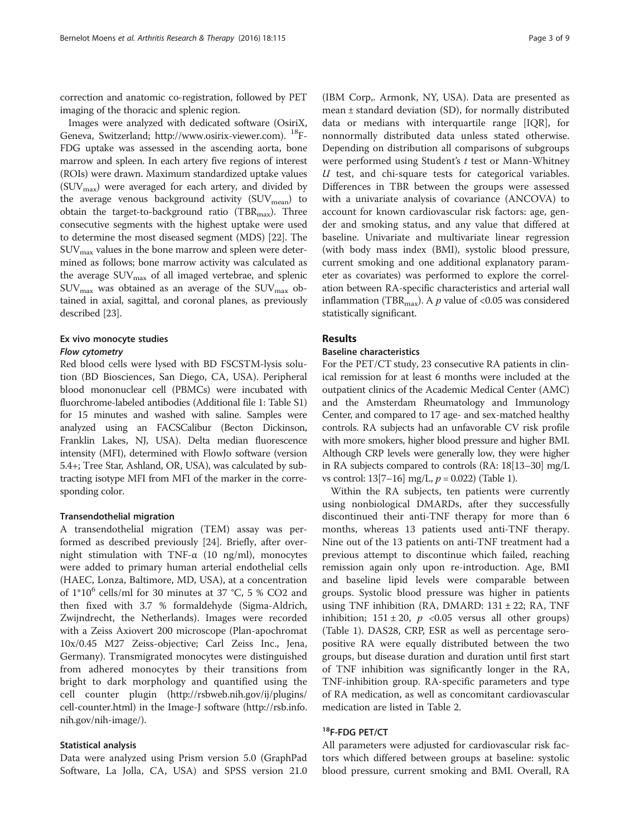correction and anatomic co-registration, followed by PET imaging of the thoracic and splenic region.

Images were analyzed with dedicated software (OsiriX, Geneva, Switzerland;<http://www.osirix-viewer.com>). 18F-FDG uptake was assessed in the ascending aorta, bone marrow and spleen. In each artery five regions of interest (ROIs) were drawn. Maximum standardized uptake values  $(SUV_{\text{max}})$  were averaged for each artery, and divided by the average venous background activity  $(SUV_{mean})$  to obtain the target-to-background ratio (TBR<sub>max</sub>). Three consecutive segments with the highest uptake were used to determine the most diseased segment (MDS) [[22](#page-8-0)]. The  $\text{SUV}_{\text{max}}$  values in the bone marrow and spleen were determined as follows; bone marrow activity was calculated as the average  $\text{SUV}_{\text{max}}$  of all imaged vertebrae, and splenic  $\text{SUV}_{\text{max}}$  was obtained as an average of the  $\text{SUV}_{\text{max}}$  obtained in axial, sagittal, and coronal planes, as previously described [\[23\]](#page-8-0).

### Ex vivo monocyte studies

#### Flow cytometry

Red blood cells were lysed with BD FSCSTM-lysis solution (BD Biosciences, San Diego, CA, USA). Peripheral blood mononuclear cell (PBMCs) were incubated with fluorchrome-labeled antibodies (Additional file [1](#page-7-0): Table S1) for 15 minutes and washed with saline. Samples were analyzed using an FACSCalibur (Becton Dickinson, Franklin Lakes, NJ, USA). Delta median fluorescence intensity (MFI), determined with FlowJo software (version 5.4+; Tree Star, Ashland, OR, USA), was calculated by subtracting isotype MFI from MFI of the marker in the corresponding color.

#### Transendothelial migration

A transendothelial migration (TEM) assay was performed as described previously [[24\]](#page-8-0). Briefly, after overnight stimulation with TNF- $α$  (10 ng/ml), monocytes were added to primary human arterial endothelial cells (HAEC, Lonza, Baltimore, MD, USA), at a concentration of  $1*10^6$  cells/ml for 30 minutes at 37 °C, 5 % CO2 and then fixed with 3.7 % formaldehyde (Sigma-Aldrich, Zwijndrecht, the Netherlands). Images were recorded with a Zeiss Axiovert 200 microscope (Plan-apochromat 10x/0.45 M27 Zeiss-objective; Carl Zeiss Inc., Jena, Germany). Transmigrated monocytes were distinguished from adhered monocytes by their transitions from bright to dark morphology and quantified using the cell counter plugin [\(http://rsbweb.nih.gov/ij/plugins/](http://rsbweb.nih.gov/ij/plugins/cell-counter.html) [cell-counter.html\)](http://rsbweb.nih.gov/ij/plugins/cell-counter.html) in the Image-J software ([http://rsb.info.](http://rsb.info.nih.gov/nih-image/) [nih.gov/nih-image/](http://rsb.info.nih.gov/nih-image/)).

#### Statistical analysis

Data were analyzed using Prism version 5.0 (GraphPad Software, La Jolla, CA, USA) and SPSS version 21.0

(IBM Corp,. Armonk, NY, USA). Data are presented as mean ± standard deviation (SD), for normally distributed data or medians with interquartile range [IQR], for nonnormally distributed data unless stated otherwise. Depending on distribution all comparisons of subgroups were performed using Student's  $t$  test or Mann-Whitney  $U$  test, and chi-square tests for categorical variables. Differences in TBR between the groups were assessed with a univariate analysis of covariance (ANCOVA) to account for known cardiovascular risk factors: age, gender and smoking status, and any value that differed at baseline. Univariate and multivariate linear regression (with body mass index (BMI), systolic blood pressure, current smoking and one additional explanatory parameter as covariates) was performed to explore the correlation between RA-specific characteristics and arterial wall inflammation (TBR<sub>max</sub>). A p value of <0.05 was considered statistically significant.

## Results

## Baseline characteristics

For the PET/CT study, 23 consecutive RA patients in clinical remission for at least 6 months were included at the outpatient clinics of the Academic Medical Center (AMC) and the Amsterdam Rheumatology and Immunology Center, and compared to 17 age- and sex-matched healthy controls. RA subjects had an unfavorable CV risk profile with more smokers, higher blood pressure and higher BMI. Although CRP levels were generally low, they were higher in RA subjects compared to controls (RA: 18[[13](#page-8-0)–[30](#page-8-0)] mg/L vs control:  $13[7-16]$  $13[7-16]$  $13[7-16]$  $13[7-16]$  $13[7-16]$  mg/L,  $p = 0.022$ ) (Table [1](#page-3-0)).

Within the RA subjects, ten patients were currently using nonbiological DMARDs, after they successfully discontinued their anti-TNF therapy for more than 6 months, whereas 13 patients used anti-TNF therapy. Nine out of the 13 patients on anti-TNF treatment had a previous attempt to discontinue which failed, reaching remission again only upon re-introduction. Age, BMI and baseline lipid levels were comparable between groups. Systolic blood pressure was higher in patients using TNF inhibition (RA, DMARD:  $131 \pm 22$ ; RA, TNF inhibition;  $151 \pm 20$ ,  $p \le 0.05$  versus all other groups) (Table [1\)](#page-3-0). DAS28, CRP, ESR as well as percentage seropositive RA were equally distributed between the two groups, but disease duration and duration until first start of TNF inhibition was significantly longer in the RA, TNF-inhibition group. RA-specific parameters and type of RA medication, as well as concomitant cardiovascular medication are listed in Table [2.](#page-3-0)

## 18F-FDG PET/CT

All parameters were adjusted for cardiovascular risk factors which differed between groups at baseline: systolic blood pressure, current smoking and BMI. Overall, RA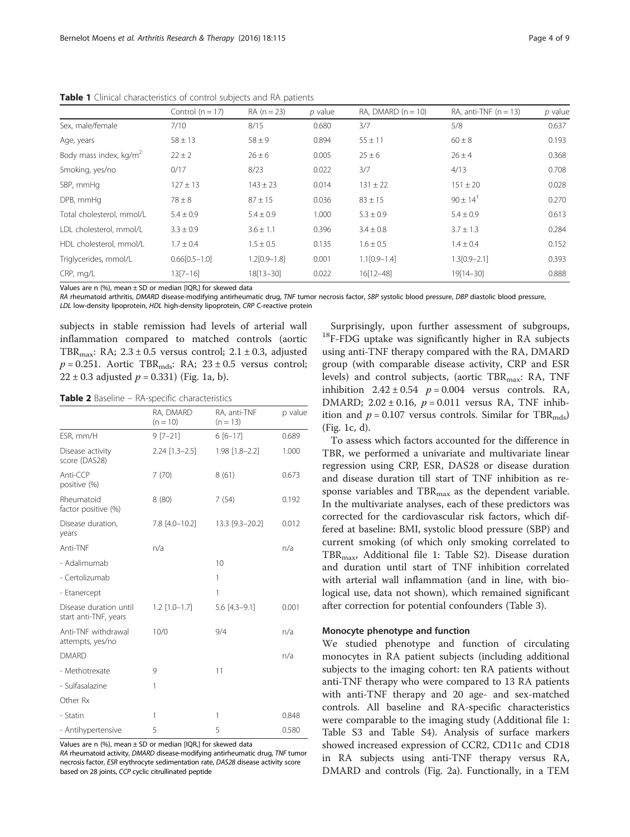|                                    | Control $(n = 17)$ | $RA (n = 23)$    | $p$ value | RA, DMARD $(n = 10)$ | RA, anti-TNF $(n = 13)$ | $p$ value |
|------------------------------------|--------------------|------------------|-----------|----------------------|-------------------------|-----------|
| Sex, male/female                   | 7/10               | 8/15             | 0.680     | 3/7                  | 5/8                     | 0.637     |
| Age, years                         | $58 \pm 13$        | $58 \pm 9$       | 0.894     | $55 \pm 11$          | $60 \pm 8$              | 0.193     |
| Body mass index, kg/m <sup>2</sup> | $22 \pm 2$         | $26 \pm 6$       | 0.005     | $25 \pm 6$           | $26 \pm 4$              | 0.368     |
| Smoking, yes/no                    | 0/17               | 8/23             | 0.022     | 3/7                  | 4/13                    | 0.708     |
| SBP, mmHq                          | $127 \pm 13$       | $143 \pm 23$     | 0.014     | $131 \pm 22$         | $151 \pm 20$            | 0.028     |
| DPB, mmHg                          | $78 \pm 8$         | $87 \pm 15$      | 0.036     | $83 \pm 15$          | $90 \pm 14^{+}$         | 0.270     |
| Total cholesterol, mmol/L          | $5.4 \pm 0.9$      | $5.4 \pm 0.9$    | 1.000     | $5.3 \pm 0.9$        | $5.4 \pm 0.9$           | 0.613     |
| LDL cholesterol, mmol/L            | $3.3 \pm 0.9$      | $3.6 \pm 1.1$    | 0.396     | $3.4 \pm 0.8$        | $3.7 \pm 1.3$           | 0.284     |
| HDL cholesterol, mmol/L            | $1.7 \pm 0.4$      | $1.5 \pm 0.5$    | 0.135     | $1.6 \pm 0.5$        | $1.4 \pm 0.4$           | 0.152     |
| Triglycerides, mmol/L              | $0.66[0.5-1.0]$    | $1.2[0.9 - 1.8]$ | 0.001     | $1.1$ [0.9-1.4]      | $1.3[0.9 - 2.1]$        | 0.393     |
| CRP, mg/L                          | $13[7-16]$         | 18[13-30]        | 0.022     | 16[12-48]            | 19[14-30]               | 0.888     |

<span id="page-3-0"></span>Table 1 Clinical characteristics of control subjects and RA patients

Values are n (%), mean ± SD or median [IQR,] for skewed data

RA rheumatoid arthritis, DMARD disease-modifying antirheumatic drug, TNF tumor necrosis factor, SBP systolic blood pressure, DBP diastolic blood pressure, LDL low-density lipoprotein, HDL high-density lipoprotein, CRP C-reactive protein

subjects in stable remission had levels of arterial wall inflammation compared to matched controls (aortic TBR<sub>max</sub>: RA;  $2.3 \pm 0.5$  versus control;  $2.1 \pm 0.3$ , adjusted  $p = 0.251$ . Aortic TBR<sub>mds</sub>: RA;  $23 \pm 0.5$  versus control;  $22 \pm 0.3$  adjusted  $p = 0.331$ ) (Fig. [1a, b\)](#page-4-0).

Table 2 Baseline - RA-specific characteristics

|                                                 | RA, DMARD<br>$(n = 10)$ | RA, anti-TNF<br>$(n = 13)$ | p value |
|-------------------------------------------------|-------------------------|----------------------------|---------|
| ESR, mm/H                                       | $9 [7 - 21]$            | $6[6 - 17]$                | 0.689   |
| Disease activity<br>score (DAS28)               | $2.24$ [1.3-2.5]        | 1.98 [1.8-2.2]             | 1.000   |
| Anti-CCP<br>positive (%)                        | 7(70)                   | 8(61)                      | 0.673   |
| Rheumatoid<br>factor positive (%)               | 8(80)                   | 7(54)                      | 0.192   |
| Disease duration,<br>years                      | 7.8 [4.0-10.2]          | 13.3 [9.3-20.2]            | 0.012   |
| Anti-TNF                                        | n/a                     |                            | n/a     |
| - Adalimumab                                    |                         | 10                         |         |
| - Certolizumab                                  |                         | 1                          |         |
| - Etanercept                                    |                         | 1                          |         |
| Disease duration until<br>start anti-TNF, years | $1.2$ [1.0-1.7]         | $5.6$ [4.3-9.1]            | 0.001   |
| Anti-TNF withdrawal<br>attempts, yes/no         | 10/0                    | 9/4                        | n/a     |
| <b>DMARD</b>                                    |                         |                            | n/a     |
| - Methotrexate                                  | 9                       | 11                         |         |
| - Sulfasalazine                                 | 1                       |                            |         |
| Other Rx                                        |                         |                            |         |
| - Statin                                        | 1                       | 1                          | 0.848   |
| - Antihypertensive                              | 5                       | 5                          | 0.580   |

Values are n (%), mean  $\pm$  SD or median [IQR,] for skewed data

RA rheumatoid activity, DMARD disease-modifying antirheumatic drug, TNF tumor necrosis factor, ESR erythrocyte sedimentation rate, DAS28 disease activity score based on 28 joints, CCP cyclic citrullinated peptide

Surprisingly, upon further assessment of subgroups, 18F-FDG uptake was significantly higher in RA subjects using anti-TNF therapy compared with the RA, DMARD group (with comparable disease activity, CRP and ESR levels) and control subjects, (aortic TBR $_{\text{max}}$ : RA, TNF inhibition  $2.42 \pm 0.54$   $p = 0.004$  versus controls. RA, DMARD;  $2.02 \pm 0.16$ ,  $p = 0.011$  versus RA, TNF inhibition and  $p = 0.107$  versus controls. Similar for TBR<sub>mds</sub>) (Fig. [1c, d](#page-4-0)).

To assess which factors accounted for the difference in TBR, we performed a univariate and multivariate linear regression using CRP, ESR, DAS28 or disease duration and disease duration till start of TNF inhibition as response variables and  $TBR_{\text{max}}$  as the dependent variable. In the multivariate analyses, each of these predictors was corrected for the cardiovascular risk factors, which differed at baseline: BMI, systolic blood pressure (SBP) and current smoking (of which only smoking correlated to TBRmax, Additional file [1:](#page-7-0) Table S2). Disease duration and duration until start of TNF inhibition correlated with arterial wall inflammation (and in line, with biological use, data not shown), which remained significant after correction for potential confounders (Table [3\)](#page-4-0).

#### Monocyte phenotype and function

We studied phenotype and function of circulating monocytes in RA patient subjects (including additional subjects to the imaging cohort: ten RA patients without anti-TNF therapy who were compared to 13 RA patients with anti-TNF therapy and 20 age- and sex-matched controls. All baseline and RA-specific characteristics were comparable to the imaging study (Additional file [1](#page-7-0): Table S3 and Table S4). Analysis of surface markers showed increased expression of CCR2, CD11c and CD18 in RA subjects using anti-TNF therapy versus RA, DMARD and controls (Fig. [2a\)](#page-5-0). Functionally, in a TEM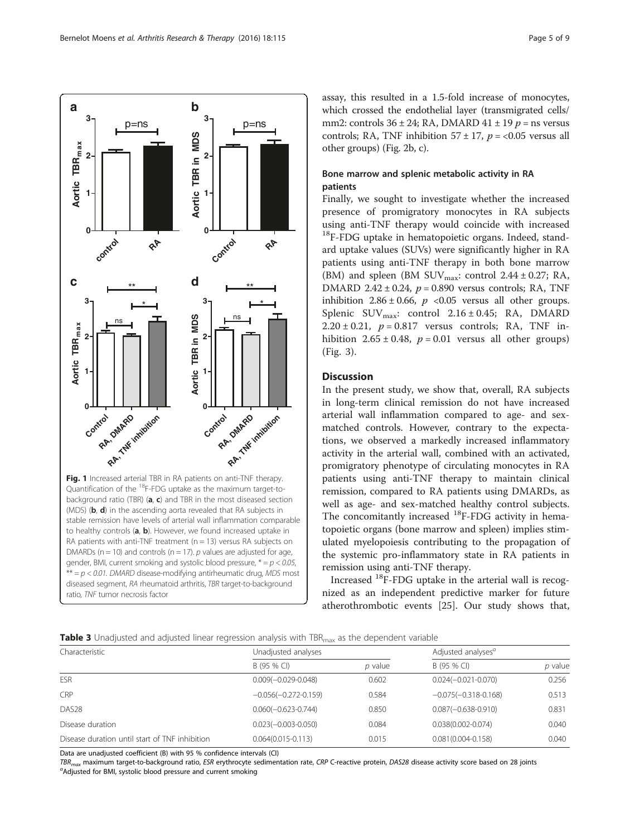<span id="page-4-0"></span>

assay, this resulted in a 1.5-fold increase of monocytes, which crossed the endothelial layer (transmigrated cells/ mm2: controls  $36 \pm 24$ ; RA, DMARD  $41 \pm 19$  p = ns versus controls; RA, TNF inhibition  $57 \pm 17$ ,  $p = <0.05$  versus all other groups) (Fig. [2b, c](#page-5-0)).

## Bone marrow and splenic metabolic activity in RA patients

Finally, we sought to investigate whether the increased presence of promigratory monocytes in RA subjects using anti-TNF therapy would coincide with increased <sup>18</sup>F-FDG uptake in hematopoietic organs. Indeed, standard uptake values (SUVs) were significantly higher in RA patients using anti-TNF therapy in both bone marrow (BM) and spleen (BM SUV $_{\text{max}}$ : control 2.44 ± 0.27; RA, DMARD 2.42  $\pm$  0.24,  $p = 0.890$  versus controls; RA, TNF inhibition  $2.86 \pm 0.66$ ,  $p \le 0.05$  versus all other groups. Splenic SUVmax: control 2.16 ± 0.45; RA, DMARD  $2.20 \pm 0.21$ ,  $p = 0.817$  versus controls; RA, TNF inhibition  $2.65 \pm 0.48$ ,  $p = 0.01$  versus all other groups) (Fig. [3\)](#page-5-0).

### **Discussion**

In the present study, we show that, overall, RA subjects in long-term clinical remission do not have increased arterial wall inflammation compared to age- and sexmatched controls. However, contrary to the expectations, we observed a markedly increased inflammatory activity in the arterial wall, combined with an activated, promigratory phenotype of circulating monocytes in RA patients using anti-TNF therapy to maintain clinical remission, compared to RA patients using DMARDs, as well as age- and sex-matched healthy control subjects. The concomitantly increased  $^{18}$ F-FDG activity in hematopoietic organs (bone marrow and spleen) implies stimulated myelopoiesis contributing to the propagation of the systemic pro-inflammatory state in RA patients in remission using anti-TNF therapy.

Increased  $^{18}$ F-FDG uptake in the arterial wall is recognized as an independent predictive marker for future atherothrombotic events [[25\]](#page-8-0). Our study shows that,

|  |  |  | Table 3 Unadjusted and adjusted linear regression analysis with TBR <sub>max</sub> as the dependent variable |  |  |  |  |  |
|--|--|--|--------------------------------------------------------------------------------------------------------------|--|--|--|--|--|
|--|--|--|--------------------------------------------------------------------------------------------------------------|--|--|--|--|--|

| Characteristic                                 | Unadjusted analyses    | Adjusted analyses <sup>a</sup> |                        |         |
|------------------------------------------------|------------------------|--------------------------------|------------------------|---------|
|                                                | B (95 % CI)            | <i>p</i> value                 | B (95 % CI)            | p value |
| <b>ESR</b>                                     | $0.009(-0.029-0.048)$  | 0.602                          | $0.024(-0.021-0.070)$  | 0.256   |
| <b>CRP</b>                                     | $-0.056(-0.272-0.159)$ | 0.584                          | $-0.075(-0.318-0.168)$ | 0.513   |
| DAS <sub>28</sub>                              | $0.060(-0.623-0.744)$  | 0.850                          | $0.087(-0.638-0.910)$  | 0.831   |
| Disease duration                               | $0.023(-0.003-0.050)$  | 0.084                          | $0.038(0.002 - 0.074)$ | 0.040   |
| Disease duration until start of TNF inhibition | $0.064(0.015 - 0.113)$ | 0.015                          | $0.081(0.004 - 0.158)$ | 0.040   |

Data are unadjusted coefficient (B) with 95 % confidence intervals (CI)

TBR<sub>max</sub> maximum target-to-background ratio, ESR erythrocyte sedimentation rate, CRP C-reactive protein, DAS28 disease activity score based on 28 joints Adjusted for BMI, systolic blood pressure and current smoking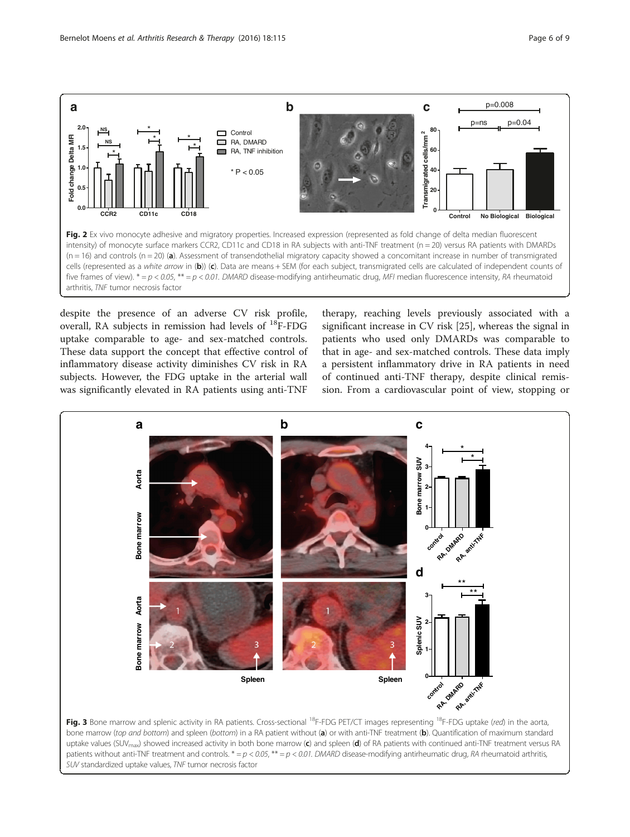<span id="page-5-0"></span>

despite the presence of an adverse CV risk profile, overall, RA subjects in remission had levels of  $^{18}$ F-FDG uptake comparable to age- and sex-matched controls. These data support the concept that effective control of inflammatory disease activity diminishes CV risk in RA subjects. However, the FDG uptake in the arterial wall was significantly elevated in RA patients using anti-TNF

therapy, reaching levels previously associated with a significant increase in CV risk [\[25](#page-8-0)], whereas the signal in patients who used only DMARDs was comparable to that in age- and sex-matched controls. These data imply a persistent inflammatory drive in RA patients in need of continued anti-TNF therapy, despite clinical remission. From a cardiovascular point of view, stopping or

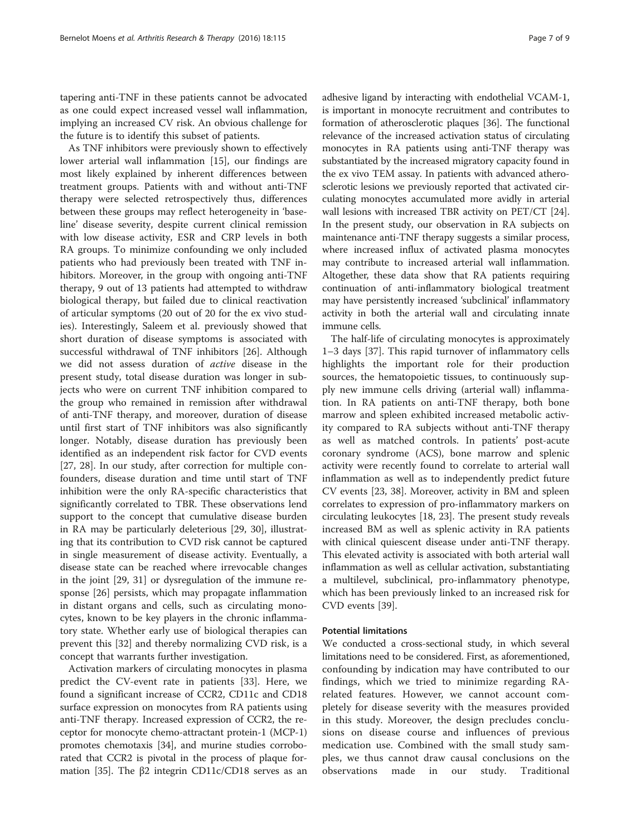tapering anti-TNF in these patients cannot be advocated as one could expect increased vessel wall inflammation, implying an increased CV risk. An obvious challenge for the future is to identify this subset of patients.

As TNF inhibitors were previously shown to effectively lower arterial wall inflammation [[15\]](#page-8-0), our findings are most likely explained by inherent differences between treatment groups. Patients with and without anti-TNF therapy were selected retrospectively thus, differences between these groups may reflect heterogeneity in 'baseline' disease severity, despite current clinical remission with low disease activity, ESR and CRP levels in both RA groups. To minimize confounding we only included patients who had previously been treated with TNF inhibitors. Moreover, in the group with ongoing anti-TNF therapy, 9 out of 13 patients had attempted to withdraw biological therapy, but failed due to clinical reactivation of articular symptoms (20 out of 20 for the ex vivo studies). Interestingly, Saleem et al. previously showed that short duration of disease symptoms is associated with successful withdrawal of TNF inhibitors [[26\]](#page-8-0). Although we did not assess duration of active disease in the present study, total disease duration was longer in subjects who were on current TNF inhibition compared to the group who remained in remission after withdrawal of anti-TNF therapy, and moreover, duration of disease until first start of TNF inhibitors was also significantly longer. Notably, disease duration has previously been identified as an independent risk factor for CVD events [[27, 28](#page-8-0)]. In our study, after correction for multiple confounders, disease duration and time until start of TNF inhibition were the only RA-specific characteristics that significantly correlated to TBR. These observations lend support to the concept that cumulative disease burden in RA may be particularly deleterious [\[29](#page-8-0), [30\]](#page-8-0), illustrating that its contribution to CVD risk cannot be captured in single measurement of disease activity. Eventually, a disease state can be reached where irrevocable changes in the joint [\[29](#page-8-0), [31\]](#page-8-0) or dysregulation of the immune response [\[26\]](#page-8-0) persists, which may propagate inflammation in distant organs and cells, such as circulating monocytes, known to be key players in the chronic inflammatory state. Whether early use of biological therapies can prevent this [[32\]](#page-8-0) and thereby normalizing CVD risk, is a concept that warrants further investigation.

Activation markers of circulating monocytes in plasma predict the CV-event rate in patients [[33](#page-8-0)]. Here, we found a significant increase of CCR2, CD11c and CD18 surface expression on monocytes from RA patients using anti-TNF therapy. Increased expression of CCR2, the receptor for monocyte chemo-attractant protein-1 (MCP-1) promotes chemotaxis [[34](#page-8-0)], and murine studies corroborated that CCR2 is pivotal in the process of plaque for-mation [\[35\]](#page-8-0). The β2 integrin CD11c/CD18 serves as an adhesive ligand by interacting with endothelial VCAM-1, is important in monocyte recruitment and contributes to formation of atherosclerotic plaques [[36](#page-8-0)]. The functional relevance of the increased activation status of circulating monocytes in RA patients using anti-TNF therapy was substantiated by the increased migratory capacity found in the ex vivo TEM assay. In patients with advanced atherosclerotic lesions we previously reported that activated circulating monocytes accumulated more avidly in arterial wall lesions with increased TBR activity on PET/CT [[24](#page-8-0)]. In the present study, our observation in RA subjects on maintenance anti-TNF therapy suggests a similar process, where increased influx of activated plasma monocytes may contribute to increased arterial wall inflammation. Altogether, these data show that RA patients requiring continuation of anti-inflammatory biological treatment may have persistently increased 'subclinical' inflammatory activity in both the arterial wall and circulating innate immune cells.

The half-life of circulating monocytes is approximately 1–3 days [\[37\]](#page-8-0). This rapid turnover of inflammatory cells highlights the important role for their production sources, the hematopoietic tissues, to continuously supply new immune cells driving (arterial wall) inflammation. In RA patients on anti-TNF therapy, both bone marrow and spleen exhibited increased metabolic activity compared to RA subjects without anti-TNF therapy as well as matched controls. In patients' post-acute coronary syndrome (ACS), bone marrow and splenic activity were recently found to correlate to arterial wall inflammation as well as to independently predict future CV events [\[23, 38](#page-8-0)]. Moreover, activity in BM and spleen correlates to expression of pro-inflammatory markers on circulating leukocytes [[18, 23\]](#page-8-0). The present study reveals increased BM as well as splenic activity in RA patients with clinical quiescent disease under anti-TNF therapy. This elevated activity is associated with both arterial wall inflammation as well as cellular activation, substantiating a multilevel, subclinical, pro-inflammatory phenotype, which has been previously linked to an increased risk for CVD events [[39](#page-8-0)].

## Potential limitations

We conducted a cross-sectional study, in which several limitations need to be considered. First, as aforementioned, confounding by indication may have contributed to our findings, which we tried to minimize regarding RArelated features. However, we cannot account completely for disease severity with the measures provided in this study. Moreover, the design precludes conclusions on disease course and influences of previous medication use. Combined with the small study samples, we thus cannot draw causal conclusions on the observations made in our study. Traditional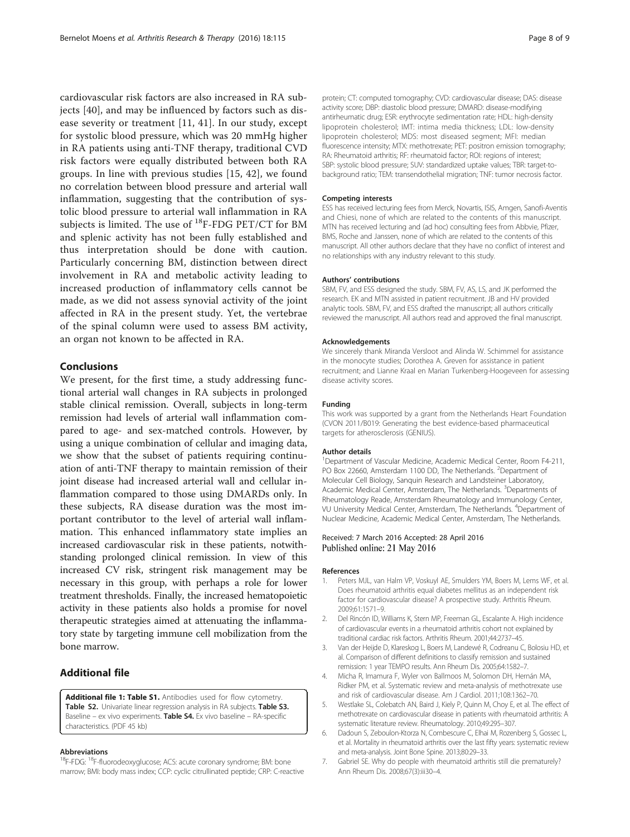<span id="page-7-0"></span>cardiovascular risk factors are also increased in RA subjects [[40\]](#page-8-0), and may be influenced by factors such as disease severity or treatment [[11, 41](#page-8-0)]. In our study, except for systolic blood pressure, which was 20 mmHg higher in RA patients using anti-TNF therapy, traditional CVD risk factors were equally distributed between both RA groups. In line with previous studies [\[15](#page-8-0), [42\]](#page-8-0), we found no correlation between blood pressure and arterial wall inflammation, suggesting that the contribution of systolic blood pressure to arterial wall inflammation in RA subjects is limited. The use of  $^{18}$ F-FDG PET/CT for BM and splenic activity has not been fully established and thus interpretation should be done with caution. Particularly concerning BM, distinction between direct involvement in RA and metabolic activity leading to increased production of inflammatory cells cannot be made, as we did not assess synovial activity of the joint affected in RA in the present study. Yet, the vertebrae of the spinal column were used to assess BM activity, an organ not known to be affected in RA.

#### Conclusions

We present, for the first time, a study addressing functional arterial wall changes in RA subjects in prolonged stable clinical remission. Overall, subjects in long-term remission had levels of arterial wall inflammation compared to age- and sex-matched controls. However, by using a unique combination of cellular and imaging data, we show that the subset of patients requiring continuation of anti-TNF therapy to maintain remission of their joint disease had increased arterial wall and cellular inflammation compared to those using DMARDs only. In these subjects, RA disease duration was the most important contributor to the level of arterial wall inflammation. This enhanced inflammatory state implies an increased cardiovascular risk in these patients, notwithstanding prolonged clinical remission. In view of this increased CV risk, stringent risk management may be necessary in this group, with perhaps a role for lower treatment thresholds. Finally, the increased hematopoietic activity in these patients also holds a promise for novel therapeutic strategies aimed at attenuating the inflammatory state by targeting immune cell mobilization from the bone marrow.

## Additional file

[Additional file 1: Table S1.](dx.doi.org/10.1186/s13075-016-1008-z) Antibodies used for flow cytometry. Table S2. Univariate linear regression analysis in RA subjects. Table S3. Baseline – ex vivo experiments. Table S4. Ex vivo baseline – RA-specific characteristics. (PDF 45 kb)

#### Abbreviations

<sup>18</sup>F-FDG: <sup>18</sup>F-fluorodeoxyglucose; ACS: acute coronary syndrome; BM: bone marrow; BMI: body mass index; CCP: cyclic citrullinated peptide; CRP: C-reactive protein; CT: computed tomography; CVD: cardiovascular disease; DAS: disease activity score; DBP: diastolic blood pressure; DMARD: disease-modifying antirheumatic drug; ESR: erythrocyte sedimentation rate; HDL: high-density lipoprotein cholesterol; IMT: intima media thickness; LDL: low-density lipoprotein cholesterol; MDS: most diseased segment; MFI: median fluorescence intensity; MTX: methotrexate; PET: positron emission tomography; RA: Rheumatoid arthritis; RF: rheumatoid factor; ROI: regions of interest; SBP: systolic blood pressure; SUV: standardized uptake values; TBR: target-tobackground ratio; TEM: transendothelial migration; TNF: tumor necrosis factor.

#### Competing interests

ESS has received lecturing fees from Merck, Novartis, ISIS, Amgen, Sanofi-Aventis and Chiesi, none of which are related to the contents of this manuscript. MTN has received lecturing and (ad hoc) consulting fees from Abbvie, Pfizer, BMS, Roche and Janssen, none of which are related to the contents of this manuscript. All other authors declare that they have no conflict of interest and no relationships with any industry relevant to this study.

#### Authors' contributions

SBM, FV, and ESS designed the study. SBM, FV, AS, LS, and JK performed the research. EK and MTN assisted in patient recruitment. JB and HV provided analytic tools. SBM, FV, and ESS drafted the manuscript; all authors critically reviewed the manuscript. All authors read and approved the final manuscript.

#### Acknowledgements

We sincerely thank Miranda Versloot and Alinda W. Schimmel for assistance in the monocyte studies; Dorothea A. Greven for assistance in patient recruitment; and Lianne Kraal en Marian Turkenberg-Hoogeveen for assessing disease activity scores.

#### Funding

This work was supported by a grant from the Netherlands Heart Foundation (CVON 2011/B019: Generating the best evidence-based pharmaceutical targets for atherosclerosis (GENIUS).

#### Author details

<sup>1</sup>Department of Vascular Medicine, Academic Medical Center, Room F4-211 PO Box 22660, Amsterdam 1100 DD, The Netherlands. <sup>2</sup>Department of Molecular Cell Biology, Sanquin Research and Landsteiner Laboratory, Academic Medical Center, Amsterdam, The Netherlands. <sup>3</sup>Departments of Rheumatology Reade, Amsterdam Rheumatology and Immunology Center, VU University Medical Center, Amsterdam, The Netherlands. <sup>4</sup>Department of Nuclear Medicine, Academic Medical Center, Amsterdam, The Netherlands.

#### Received: 7 March 2016 Accepted: 28 April 2016 Published online: 21 May 2016

#### References

- 1. Peters MJL, van Halm VP, Voskuyl AE, Smulders YM, Boers M, Lems WF, et al. Does rheumatoid arthritis equal diabetes mellitus as an independent risk factor for cardiovascular disease? A prospective study. Arthritis Rheum. 2009;61:1571–9.
- 2. Del Rincón ID, Williams K, Stern MP, Freeman GL, Escalante A. High incidence of cardiovascular events in a rheumatoid arthritis cohort not explained by traditional cardiac risk factors. Arthritis Rheum. 2001;44:2737–45.
- 3. Van der Heijde D, Klareskog L, Boers M, Landewé R, Codreanu C, Bolosiu HD, et al. Comparison of different definitions to classify remission and sustained remission: 1 year TEMPO results. Ann Rheum Dis. 2005;64:1582–7.
- 4. Micha R, Imamura F, Wyler von Ballmoos M, Solomon DH, Hernán MA, Ridker PM, et al. Systematic review and meta-analysis of methotrexate use and risk of cardiovascular disease. Am J Cardiol. 2011;108:1362–70.
- 5. Westlake SL, Colebatch AN, Baird J, Kiely P, Quinn M, Choy E, et al. The effect of methotrexate on cardiovascular disease in patients with rheumatoid arthritis: A systematic literature review. Rheumatology. 2010;49:295–307.
- 6. Dadoun S, Zeboulon-Ktorza N, Combescure C, Elhai M, Rozenberg S, Gossec L, et al. Mortality in rheumatoid arthritis over the last fifty years: systematic review and meta-analysis. Joint Bone Spine. 2013;80:29–33.
- 7. Gabriel SE. Why do people with rheumatoid arthritis still die prematurely? Ann Rheum Dis. 2008;67(3):iii30–4.